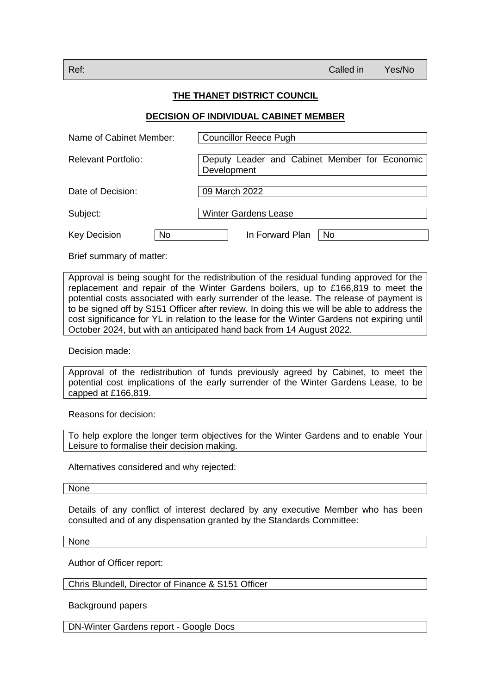## **THE THANET DISTRICT COUNCIL**

## **DECISION OF INDIVIDUAL CABINET MEMBER**

| Name of Cabinet Member:    | <b>Councillor Reece Pugh</b>                                 |
|----------------------------|--------------------------------------------------------------|
| <b>Relevant Portfolio:</b> | Deputy Leader and Cabinet Member for Economic<br>Development |
| Date of Decision:          | 09 March 2022                                                |
| Subject:                   | <b>Winter Gardens Lease</b>                                  |
| No<br><b>Key Decision</b>  | In Forward Plan<br>N <sub>o</sub>                            |

Brief summary of matter:

Approval is being sought for the redistribution of the residual funding approved for the replacement and repair of the Winter Gardens boilers, up to £166,819 to meet the potential costs associated with early surrender of the lease. The release of payment is to be signed off by S151 Officer after review. In doing this we will be able to address the cost significance for YL in relation to the lease for the Winter Gardens not expiring until October 2024, but with an anticipated hand back from 14 August 2022.

Decision made:

Approval of the redistribution of funds previously agreed by Cabinet, to meet the potential cost implications of the early surrender of the Winter Gardens Lease, to be capped at £166,819.

Reasons for decision:

To help explore the longer term objectives for the Winter Gardens and to enable Your Leisure to formalise their decision making.

Alternatives considered and why rejected:

None

Details of any conflict of interest declared by any executive Member who has been consulted and of any dispensation granted by the Standards Committee:

None

Author of Officer report:

Chris Blundell, Director of Finance & S151 Officer

Background papers

DN-Winter Gardens report - Google Docs